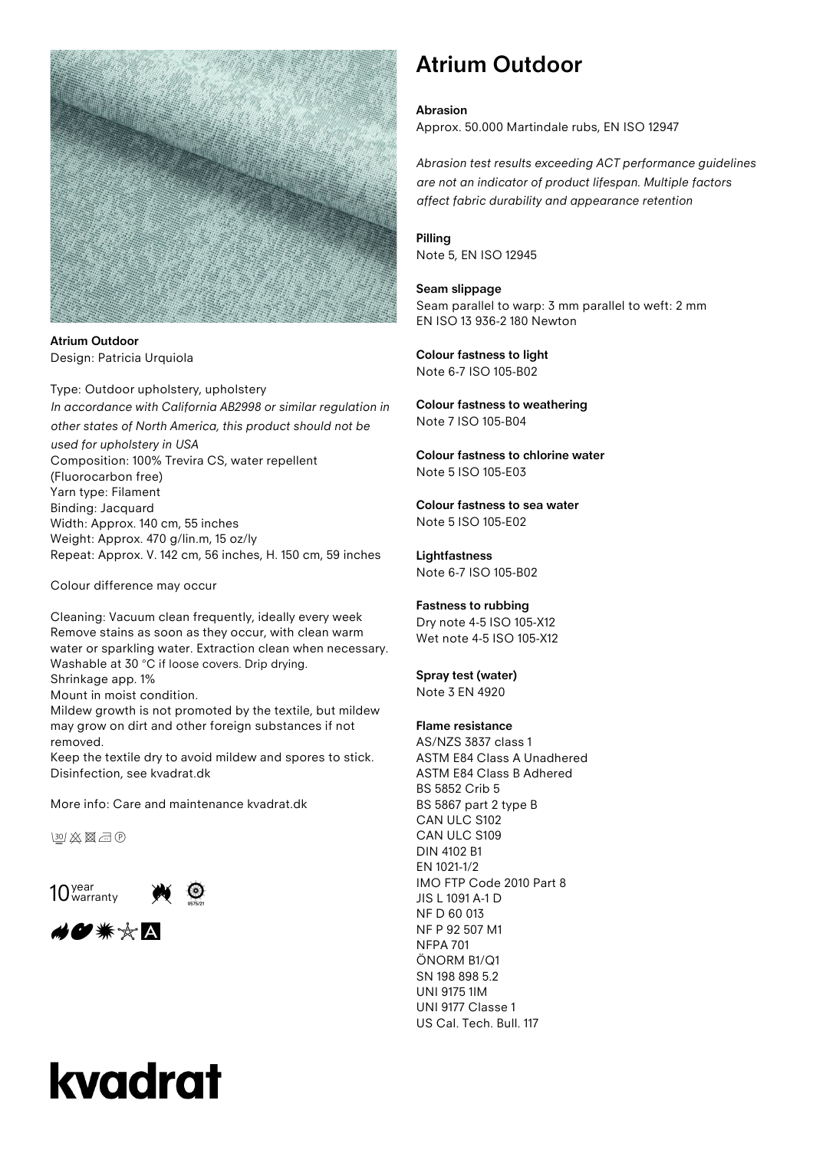

**Atrium Outdoor** Design: Patricia Urquiola

Type: Outdoor upholstery, upholstery *In accordance with California AB2998 or similar regulation in other states of North America, this product should not be used for upholstery in USA* Composition: 100% Trevira CS, water repellent (Fluorocarbon free) Yarn type: Filament Binding: Jacquard Width: Approx. 140 cm, 55 inches Weight: Approx. 470 g/lin.m, 15 oz/ly Repeat: Approx. V. 142 cm, 56 inches, H. 150 cm, 59 inches

Colour difference may occur

Cleaning: Vacuum clean frequently, ideally every week Remove stains as soon as they occur, with clean warm water or sparkling water. Extraction clean when necessary. Washable at 30 °C if loose covers. Drip drying.

Shrinkage app. 1%

Mount in moist condition.

Mildew growth is not promoted by the textile, but mildew may grow on dirt and other foreign substances if not removed.

Keep the textile dry to avoid mildew and spores to stick. Disinfection, see kvadrat.dk

More info: Care and maintenance kvadrat.dk

**BCIX图**司®

 $10<sub>warm</sub>$ 





## **Atrium Outdoor**

#### **Abrasion**

Approx. 50.000 Martindale rubs, EN ISO 12947

*Abrasion test results exceeding ACT performance guidelines are not an indicator of product lifespan. Multiple factors affect fabric durability and appearance retention*

#### **Pilling**

Note 5, EN ISO 12945

#### **Seam slippage**

Seam parallel to warp: 3 mm parallel to weft: 2 mm EN ISO 13 936-2 180 Newton

**Colour fastness to light** Note 6-7 ISO 105-B02

#### **Colour fastness to weathering** Note 7 ISO 105-B04

**Colour fastness to chlorine water** Note 5 ISO 105-E03

**Colour fastness to sea water** Note 5 ISO 105-E02

### **Lightfastness**

Note 6-7 ISO 105-B02

#### **Fastness to rubbing**

Dry note 4-5 ISO 105-X12 Wet note 4-5 ISO 105-X12

#### **Spray test (water)**

Note 3 EN 4920

#### **Flame resistance**

AS/NZS 3837 class 1 ASTM E84 Class A Unadhered ASTM E84 Class B Adhered BS 5852 Crib 5 BS 5867 part 2 type B CAN ULC S102 CAN ULC S109 DIN 4102 B1 EN 1021-1/2 IMO FTP Code 2010 Part 8 JIS L 1091 A-1 D NF D 60 013 NF P 92 507 M1 NFPA 701 ÖNORM B1/Q1 SN 198 898 5.2 UNI 9175 1IM UNI 9177 Classe 1 US Cal. Tech. Bull. 117

# kvadrat